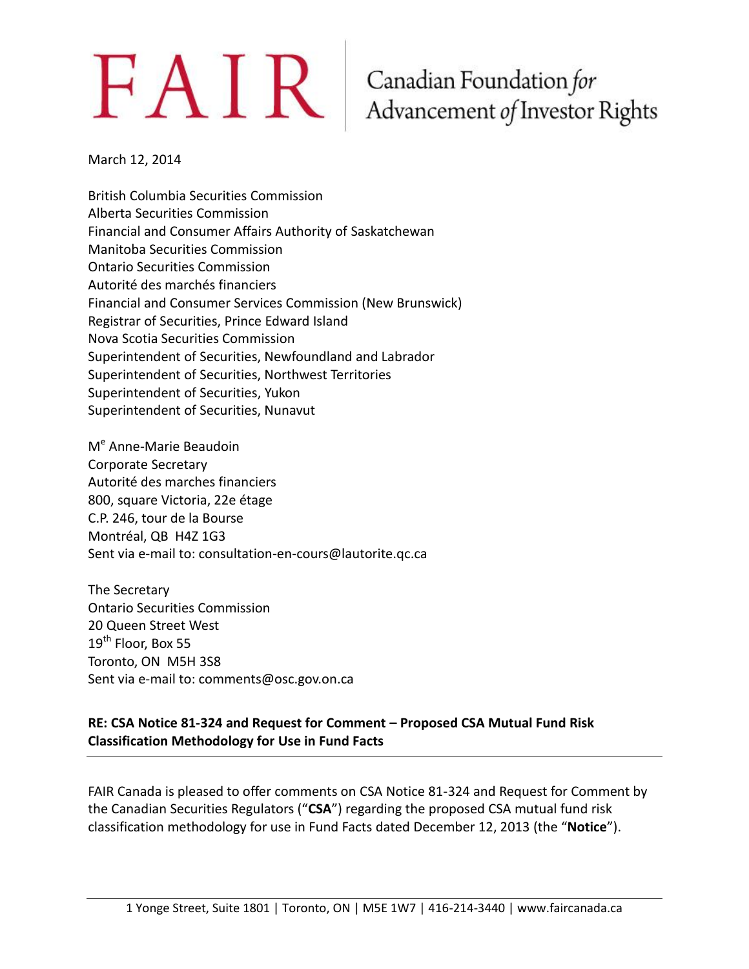# $FAN$ R Canadian Foundation for<br>Advancement of Investor Rights

March 12, 2014

British Columbia Securities Commission Alberta Securities Commission Financial and Consumer Affairs Authority of Saskatchewan Manitoba Securities Commission Ontario Securities Commission Autorité des marchés financiers Financial and Consumer Services Commission (New Brunswick) Registrar of Securities, Prince Edward Island Nova Scotia Securities Commission Superintendent of Securities, Newfoundland and Labrador Superintendent of Securities, Northwest Territories Superintendent of Securities, Yukon Superintendent of Securities, Nunavut

M<sup>e</sup> Anne-Marie Beaudoin Corporate Secretary Autorité des marches financiers 800, square Victoria, 22e étage C.P. 246, tour de la Bourse Montréal, QB H4Z 1G3 Sent via e-mail to: consultation-en-cours@lautorite.qc.ca

The Secretary Ontario Securities Commission 20 Queen Street West 19<sup>th</sup> Floor, Box 55 Toronto, ON M5H 3S8 Sent via e-mail to: comments@osc.gov.on.ca

#### **RE: CSA Notice 81-324 and Request for Comment – Proposed CSA Mutual Fund Risk Classification Methodology for Use in Fund Facts**

FAIR Canada is pleased to offer comments on CSA Notice 81-324 and Request for Comment by the Canadian Securities Regulators ("**CSA**") regarding the proposed CSA mutual fund risk classification methodology for use in Fund Facts dated December 12, 2013 (the "**Notice**").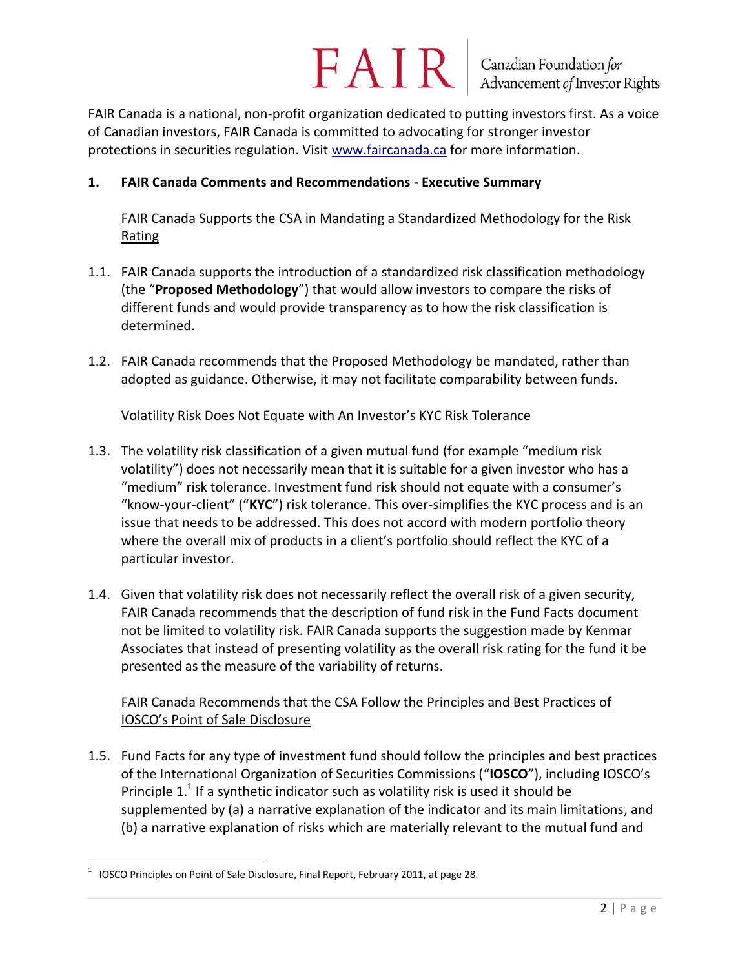# **FAIR** Canadian Foundation for

FAIR Canada is a national, non-profit organization dedicated to putting investors first. As a voice of Canadian investors, FAIR Canada is committed to advocating for stronger investor protections in securities regulation. Visit [www.faircanada.ca](http://www.faircanada.ca/) for more information.

#### **1. FAIR Canada Comments and Recommendations - Executive Summary**

FAIR Canada Supports the CSA in Mandating a Standardized Methodology for the Risk Rating

- 1.1. FAIR Canada supports the introduction of a standardized risk classification methodology (the "**Proposed Methodology**") that would allow investors to compare the risks of different funds and would provide transparency as to how the risk classification is determined.
- 1.2. FAIR Canada recommends that the Proposed Methodology be mandated, rather than adopted as guidance. Otherwise, it may not facilitate comparability between funds.

#### Volatility Risk Does Not Equate with An Investor's KYC Risk Tolerance

- 1.3. The volatility risk classification of a given mutual fund (for example "medium risk volatility") does not necessarily mean that it is suitable for a given investor who has a "medium" risk tolerance. Investment fund risk should not equate with a consumer's "know-your-client" ("**KYC**") risk tolerance. This over-simplifies the KYC process and is an issue that needs to be addressed. This does not accord with modern portfolio theory where the overall mix of products in a client's portfolio should reflect the KYC of a particular investor.
- 1.4. Given that volatility risk does not necessarily reflect the overall risk of a given security, FAIR Canada recommends that the description of fund risk in the Fund Facts document not be limited to volatility risk. FAIR Canada supports the suggestion made by Kenmar Associates that instead of presenting volatility as the overall risk rating for the fund it be presented as the measure of the variability of returns.

#### FAIR Canada Recommends that the CSA Follow the Principles and Best Practices of IOSCO's Point of Sale Disclosure

1.5. Fund Facts for any type of investment fund should follow the principles and best practices of the International Organization of Securities Commissions ("**IOSCO**"), including IOSCO's Principle 1.<sup>1</sup> If a synthetic indicator such as volatility risk is used it should be supplemented by (a) a narrative explanation of the indicator and its main limitations, and (b) a narrative explanation of risks which are materially relevant to the mutual fund and

<sup>1</sup> IOSCO Principles on Point of Sale Disclosure, Final Report, February 2011, at page 28.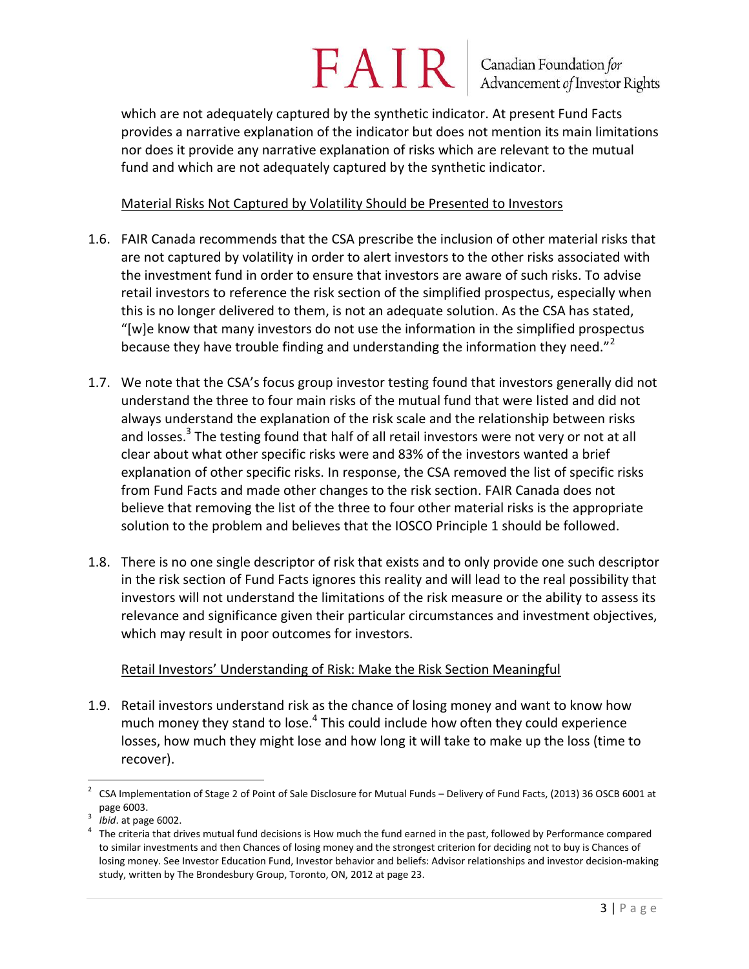which are not adequately captured by the synthetic indicator. At present Fund Facts provides a narrative explanation of the indicator but does not mention its main limitations nor does it provide any narrative explanation of risks which are relevant to the mutual fund and which are not adequately captured by the synthetic indicator.

#### Material Risks Not Captured by Volatility Should be Presented to Investors

- 1.6. FAIR Canada recommends that the CSA prescribe the inclusion of other material risks that are not captured by volatility in order to alert investors to the other risks associated with the investment fund in order to ensure that investors are aware of such risks. To advise retail investors to reference the risk section of the simplified prospectus, especially when this is no longer delivered to them, is not an adequate solution. As the CSA has stated, " $[w]$ e know that many investors do not use the information in the simplified prospectus because they have trouble finding and understanding the information they need."<sup>2</sup>
- 1.7. We note that the CSA's focus group investor testing found that investors generally did not understand the three to four main risks of the mutual fund that were listed and did not always understand the explanation of the risk scale and the relationship between risks and losses.<sup>3</sup> The testing found that half of all retail investors were not very or not at all clear about what other specific risks were and 83% of the investors wanted a brief explanation of other specific risks. In response, the CSA removed the list of specific risks from Fund Facts and made other changes to the risk section. FAIR Canada does not believe that removing the list of the three to four other material risks is the appropriate solution to the problem and believes that the IOSCO Principle 1 should be followed.
- 1.8. There is no one single descriptor of risk that exists and to only provide one such descriptor in the risk section of Fund Facts ignores this reality and will lead to the real possibility that investors will not understand the limitations of the risk measure or the ability to assess its relevance and significance given their particular circumstances and investment objectives, which may result in poor outcomes for investors.

#### Retail Investors' Understanding of Risk: Make the Risk Section Meaningful

1.9. Retail investors understand risk as the chance of losing money and want to know how much money they stand to lose.<sup>4</sup> This could include how often they could experience losses, how much they might lose and how long it will take to make up the loss (time to recover).

<sup>2</sup> CSA Implementation of Stage 2 of Point of Sale Disclosure for Mutual Funds – Delivery of Fund Facts, (2013) 36 OSCB 6001 at page 6003.

<sup>3</sup> *Ibid*. at page 6002.

<sup>4</sup> The criteria that drives mutual fund decisions is How much the fund earned in the past, followed by Performance compared to similar investments and then Chances of losing money and the strongest criterion for deciding not to buy is Chances of losing money. See Investor Education Fund, Investor behavior and beliefs: Advisor relationships and investor decision-making study, written by The Brondesbury Group, Toronto, ON, 2012 at page 23.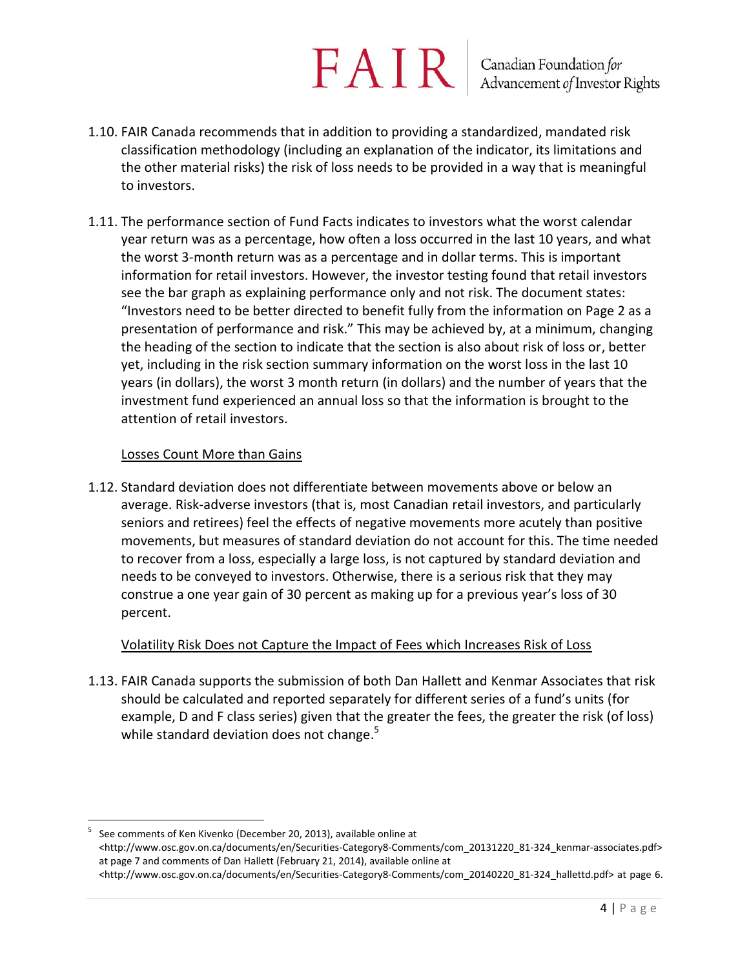- 1.10. FAIR Canada recommends that in addition to providing a standardized, mandated risk classification methodology (including an explanation of the indicator, its limitations and the other material risks) the risk of loss needs to be provided in a way that is meaningful to investors.
- 1.11. The performance section of Fund Facts indicates to investors what the worst calendar year return was as a percentage, how often a loss occurred in the last 10 years, and what the worst 3-month return was as a percentage and in dollar terms. This is important information for retail investors. However, the investor testing found that retail investors see the bar graph as explaining performance only and not risk. The document states: "Investors need to be better directed to benefit fully from the information on Page 2 as a presentation of performance and risk." This may be achieved by, at a minimum, changing the heading of the section to indicate that the section is also about risk of loss or, better yet, including in the risk section summary information on the worst loss in the last 10 years (in dollars), the worst 3 month return (in dollars) and the number of years that the investment fund experienced an annual loss so that the information is brought to the attention of retail investors.

#### Losses Count More than Gains

1.12. Standard deviation does not differentiate between movements above or below an average. Risk-adverse investors (that is, most Canadian retail investors, and particularly seniors and retirees) feel the effects of negative movements more acutely than positive movements, but measures of standard deviation do not account for this. The time needed to recover from a loss, especially a large loss, is not captured by standard deviation and needs to be conveyed to investors. Otherwise, there is a serious risk that they may construe a one year gain of 30 percent as making up for a previous year's loss of 30 percent.

#### Volatility Risk Does not Capture the Impact of Fees which Increases Risk of Loss

1.13. FAIR Canada supports the submission of both Dan Hallett and Kenmar Associates that risk should be calculated and reported separately for different series of a fund's units (for example, D and F class series) given that the greater the fees, the greater the risk (of loss) while standard deviation does not change.<sup>5</sup>

 $\overline{a}$ 5 See comments of Ken Kivenko (December 20, 2013), available online at <http://www.osc.gov.on.ca/documents/en/Securities-Category8-Comments/com\_20131220\_81-324\_kenmar-associates.pdf> at page 7 and comments of Dan Hallett (February 21, 2014), available online at <http://www.osc.gov.on.ca/documents/en/Securities-Category8-Comments/com\_20140220\_81-324\_hallettd.pdf> at page 6.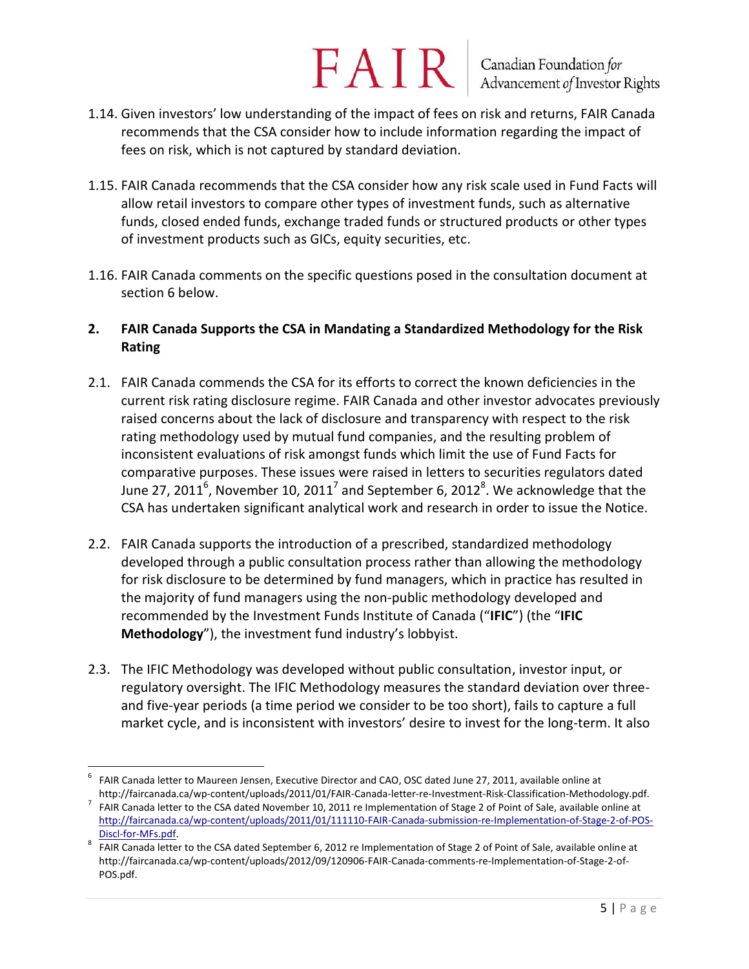- 1.14. Given investors' low understanding of the impact of fees on risk and returns, FAIR Canada recommends that the CSA consider how to include information regarding the impact of fees on risk, which is not captured by standard deviation.
- 1.15. FAIR Canada recommends that the CSA consider how any risk scale used in Fund Facts will allow retail investors to compare other types of investment funds, such as alternative funds, closed ended funds, exchange traded funds or structured products or other types of investment products such as GICs, equity securities, etc.
- 1.16. FAIR Canada comments on the specific questions posed in the consultation document at section 6 below.
- **2. FAIR Canada Supports the CSA in Mandating a Standardized Methodology for the Risk Rating**
- 2.1. FAIR Canada commends the CSA for its efforts to correct the known deficiencies in the current risk rating disclosure regime. FAIR Canada and other investor advocates previously raised concerns about the lack of disclosure and transparency with respect to the risk rating methodology used by mutual fund companies, and the resulting problem of inconsistent evaluations of risk amongst funds which limit the use of Fund Facts for comparative purposes. These issues were raised in letters to securities regulators dated June 27, 2011 $^6$ , November 10, 2011<sup>7</sup> and September 6, 2012 $^8$ . We acknowledge that the CSA has undertaken significant analytical work and research in order to issue the Notice.
- 2.2. FAIR Canada supports the introduction of a prescribed, standardized methodology developed through a public consultation process rather than allowing the methodology for risk disclosure to be determined by fund managers, which in practice has resulted in the majority of fund managers using the non-public methodology developed and recommended by the Investment Funds Institute of Canada ("**IFIC**") (the "**IFIC Methodology**"), the investment fund industry's lobbyist.
- 2.3. The IFIC Methodology was developed without public consultation, investor input, or regulatory oversight. The IFIC Methodology measures the standard deviation over threeand five-year periods (a time period we consider to be too short), fails to capture a full market cycle, and is inconsistent with investors' desire to invest for the long-term. It also

 $\overline{a}$ 6 FAIR Canada letter to Maureen Jensen, Executive Director and CAO, OSC dated June 27, 2011, available online at http://faircanada.ca/wp-content/uploads/2011/01/FAIR-Canada-letter-re-Investment-Risk-Classification-Methodology.pdf.

 $^7$  FAIR Canada letter to the CSA dated November 10, 2011 re Implementation of Stage 2 of Point of Sale, available online at [http://faircanada.ca/wp-content/uploads/2011/01/111110-FAIR-Canada-submission-re-Implementation-of-Stage-2-of-POS-](http://faircanada.ca/wp-content/uploads/2011/01/111110-FAIR-Canada-submission-re-Implementation-of-Stage-2-of-POS-Discl-for-MFs.pdf)[Discl-for-MFs.pdf.](http://faircanada.ca/wp-content/uploads/2011/01/111110-FAIR-Canada-submission-re-Implementation-of-Stage-2-of-POS-Discl-for-MFs.pdf)

<sup>8</sup> FAIR Canada letter to the CSA dated September 6, 2012 re Implementation of Stage 2 of Point of Sale, available online at http://faircanada.ca/wp-content/uploads/2012/09/120906-FAIR-Canada-comments-re-Implementation-of-Stage-2-of-POS.pdf.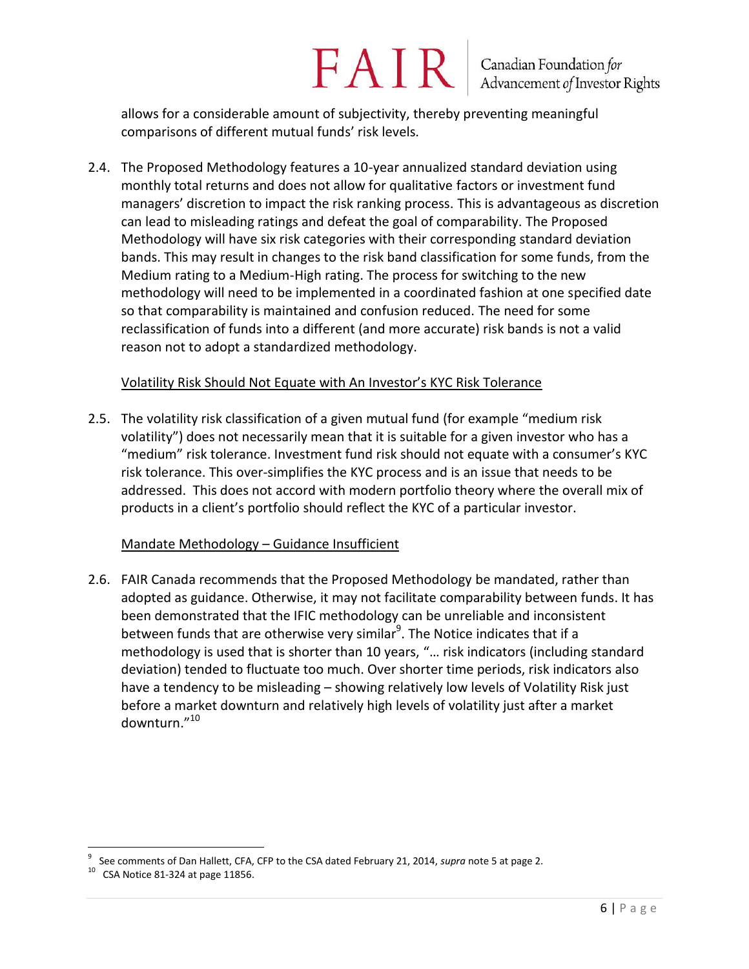# $FAN$   $R$   $R$   $\frac{$   $\Box R}{\Diamond d$   $\Diamond d$   $\Diamond d$   $\Diamond f$   $\Diamond f$   $\Diamond f$   $\Diamond f$   $\Diamond f$   $\Diamond f$   $\Diamond f$   $\Diamond f$   $\Diamond f$   $\Diamond f$   $\Diamond f$   $\Diamond f$   $\Diamond f$   $\Diamond f$   $\Diamond f$   $\Diamond f$   $\Diamond f$   $\Diamond f$   $\Diamond f$   $\Diamond f$   $\Diamond f$   $\Diamond f$   $\Diamond f$   $\Diamond f$   $\Diamond f$   $\Diamond f$   $\Diamond f$   $\Diamond f$   $\Diamond f$   $\Diamond f$

allows for a considerable amount of subjectivity, thereby preventing meaningful comparisons of different mutual funds' risk levels.

2.4. The Proposed Methodology features a 10-year annualized standard deviation using monthly total returns and does not allow for qualitative factors or investment fund managers' discretion to impact the risk ranking process. This is advantageous as discretion can lead to misleading ratings and defeat the goal of comparability. The Proposed Methodology will have six risk categories with their corresponding standard deviation bands. This may result in changes to the risk band classification for some funds, from the Medium rating to a Medium-High rating. The process for switching to the new methodology will need to be implemented in a coordinated fashion at one specified date so that comparability is maintained and confusion reduced. The need for some reclassification of funds into a different (and more accurate) risk bands is not a valid reason not to adopt a standardized methodology.

#### Volatility Risk Should Not Equate with An Investor's KYC Risk Tolerance

2.5. The volatility risk classification of a given mutual fund (for example "medium risk volatility") does not necessarily mean that it is suitable for a given investor who has a "medium" risk tolerance. Investment fund risk should not equate with a consumer's KYC risk tolerance. This over-simplifies the KYC process and is an issue that needs to be addressed. This does not accord with modern portfolio theory where the overall mix of products in a client's portfolio should reflect the KYC of a particular investor.

#### Mandate Methodology – Guidance Insufficient

2.6. FAIR Canada recommends that the Proposed Methodology be mandated, rather than adopted as guidance. Otherwise, it may not facilitate comparability between funds. It has been demonstrated that the IFIC methodology can be unreliable and inconsistent between funds that are otherwise very similar<sup>9</sup>. The Notice indicates that if a methodology is used that is shorter than 10 years, "… risk indicators (including standard deviation) tended to fluctuate too much. Over shorter time periods, risk indicators also have a tendency to be misleading – showing relatively low levels of Volatility Risk just before a market downturn and relatively high levels of volatility just after a market downturn."<sup>10</sup>

<sup>9</sup> See comments of Dan Hallett, CFA, CFP to the CSA dated February 21, 2014, *supra* note 5 at page 2.

 $10$  CSA Notice 81-324 at page 11856.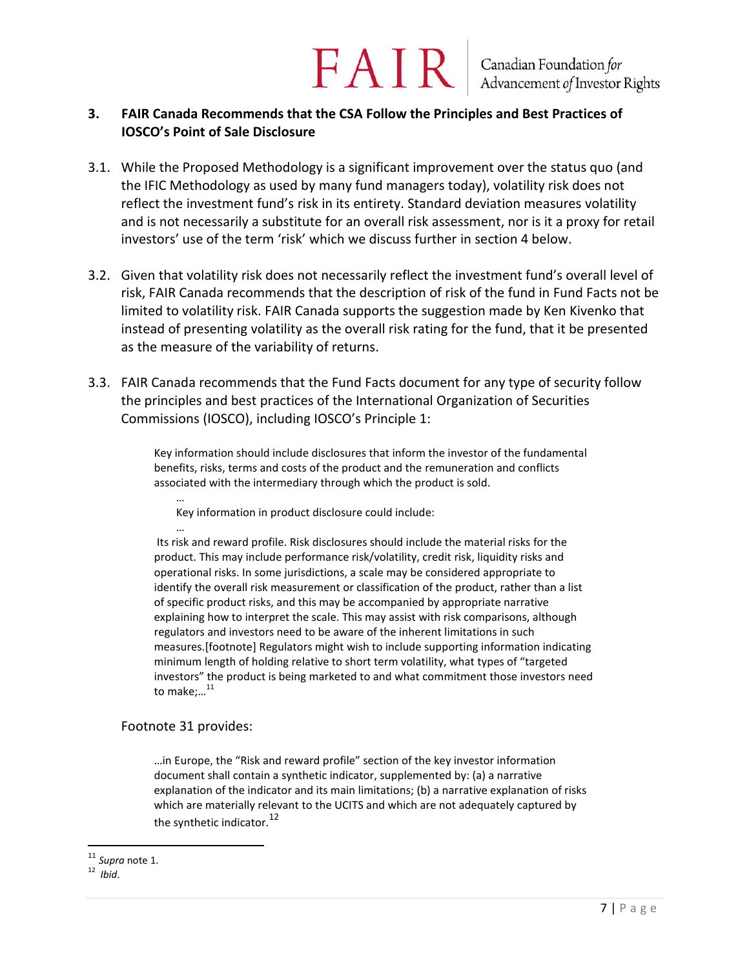#### **3. FAIR Canada Recommends that the CSA Follow the Principles and Best Practices of IOSCO's Point of Sale Disclosure**

- 3.1. While the Proposed Methodology is a significant improvement over the status quo (and the IFIC Methodology as used by many fund managers today), volatility risk does not reflect the investment fund's risk in its entirety. Standard deviation measures volatility and is not necessarily a substitute for an overall risk assessment, nor is it a proxy for retail investors' use of the term 'risk' which we discuss further in section 4 below.
- 3.2. Given that volatility risk does not necessarily reflect the investment fund's overall level of risk, FAIR Canada recommends that the description of risk of the fund in Fund Facts not be limited to volatility risk. FAIR Canada supports the suggestion made by Ken Kivenko that instead of presenting volatility as the overall risk rating for the fund, that it be presented as the measure of the variability of returns.
- 3.3. FAIR Canada recommends that the Fund Facts document for any type of security follow the principles and best practices of the International Organization of Securities Commissions (IOSCO), including IOSCO's Principle 1:

Key information should include disclosures that inform the investor of the fundamental benefits, risks, terms and costs of the product and the remuneration and conflicts associated with the intermediary through which the product is sold.

… Key information in product disclosure could include:

… Its risk and reward profile. Risk disclosures should include the material risks for the product. This may include performance risk/volatility, credit risk, liquidity risks and operational risks. In some jurisdictions, a scale may be considered appropriate to identify the overall risk measurement or classification of the product, rather than a list of specific product risks, and this may be accompanied by appropriate narrative explaining how to interpret the scale. This may assist with risk comparisons, although regulators and investors need to be aware of the inherent limitations in such measures.[footnote] Regulators might wish to include supporting information indicating minimum length of holding relative to short term volatility, what types of "targeted investors" the product is being marketed to and what commitment those investors need to make; $\ldots$ <sup>11</sup>

#### Footnote 31 provides:

…in Europe, the "Risk and reward profile" section of the key investor information document shall contain a synthetic indicator, supplemented by: (a) a narrative explanation of the indicator and its main limitations; (b) a narrative explanation of risks which are materially relevant to the UCITS and which are not adequately captured by the synthetic indicator.<sup>12</sup>

<sup>11</sup> *Supra* note 1.

<sup>12</sup> *Ibid*.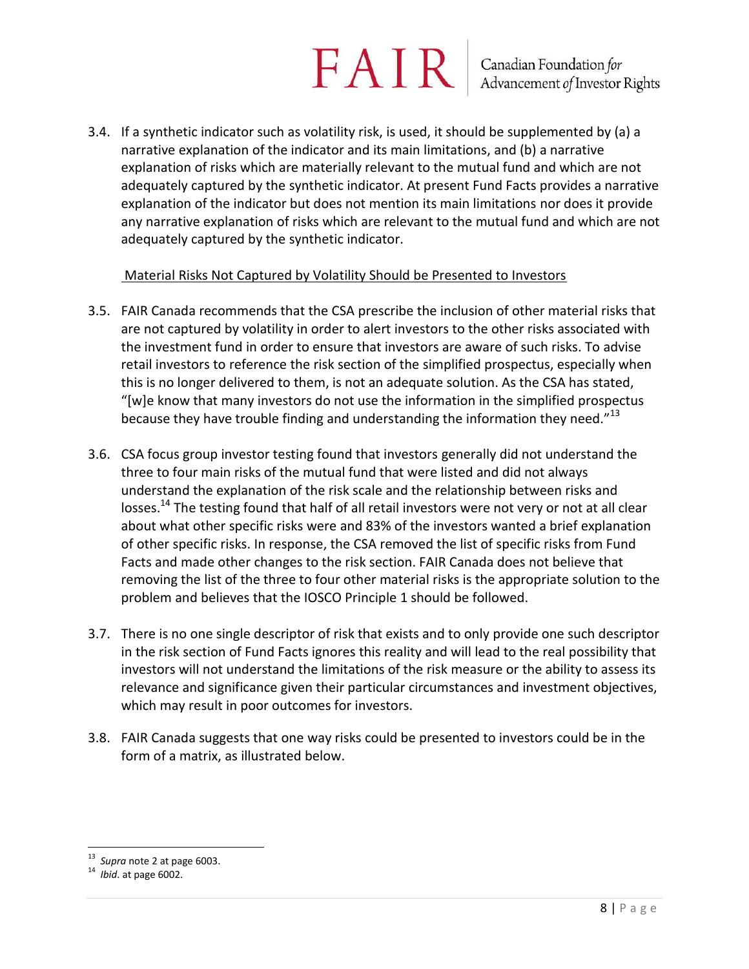3.4. If a synthetic indicator such as volatility risk, is used, it should be supplemented by (a) a narrative explanation of the indicator and its main limitations, and (b) a narrative explanation of risks which are materially relevant to the mutual fund and which are not adequately captured by the synthetic indicator. At present Fund Facts provides a narrative explanation of the indicator but does not mention its main limitations nor does it provide any narrative explanation of risks which are relevant to the mutual fund and which are not adequately captured by the synthetic indicator.

#### Material Risks Not Captured by Volatility Should be Presented to Investors

- 3.5. FAIR Canada recommends that the CSA prescribe the inclusion of other material risks that are not captured by volatility in order to alert investors to the other risks associated with the investment fund in order to ensure that investors are aware of such risks. To advise retail investors to reference the risk section of the simplified prospectus, especially when this is no longer delivered to them, is not an adequate solution. As the CSA has stated, "[w]e know that many investors do not use the information in the simplified prospectus because they have trouble finding and understanding the information they need." $^{13}$
- 3.6. CSA focus group investor testing found that investors generally did not understand the three to four main risks of the mutual fund that were listed and did not always understand the explanation of the risk scale and the relationship between risks and losses.<sup>14</sup> The testing found that half of all retail investors were not very or not at all clear about what other specific risks were and 83% of the investors wanted a brief explanation of other specific risks. In response, the CSA removed the list of specific risks from Fund Facts and made other changes to the risk section. FAIR Canada does not believe that removing the list of the three to four other material risks is the appropriate solution to the problem and believes that the IOSCO Principle 1 should be followed.
- 3.7. There is no one single descriptor of risk that exists and to only provide one such descriptor in the risk section of Fund Facts ignores this reality and will lead to the real possibility that investors will not understand the limitations of the risk measure or the ability to assess its relevance and significance given their particular circumstances and investment objectives, which may result in poor outcomes for investors.
- 3.8. FAIR Canada suggests that one way risks could be presented to investors could be in the form of a matrix, as illustrated below.

<sup>13</sup> *Supra* note 2 at page 6003.

<sup>14</sup> *Ibid*. at page 6002.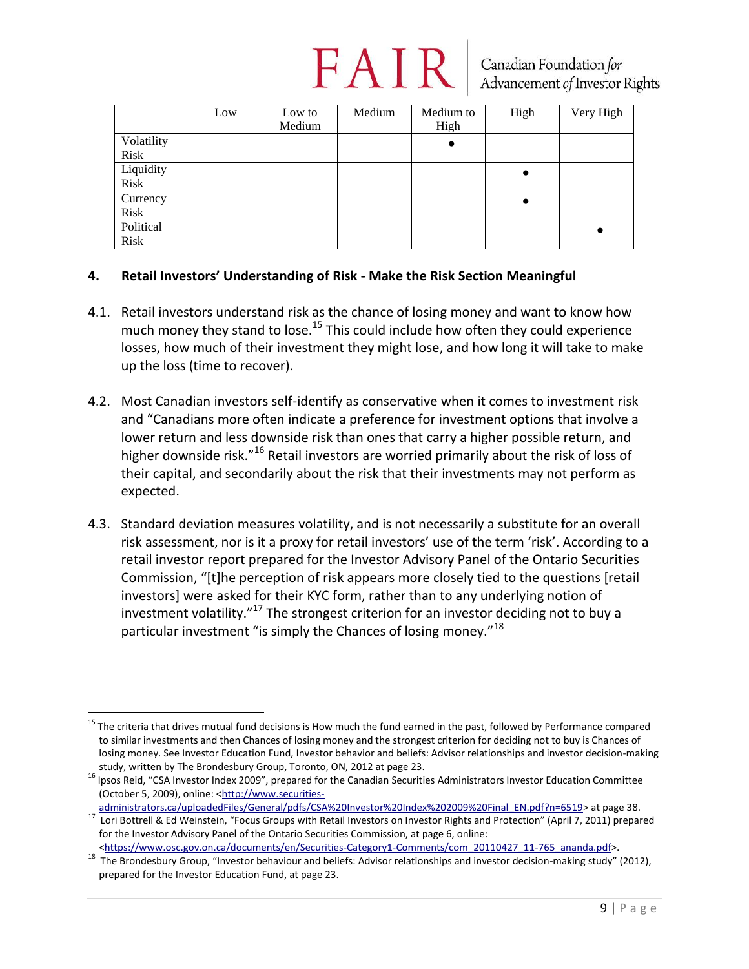|                    | Low | Low to<br>Medium | Medium | Medium to<br>High | High      | Very High |
|--------------------|-----|------------------|--------|-------------------|-----------|-----------|
| Volatility<br>Risk |     |                  |        | $\bullet$         |           |           |
| Liquidity<br>Risk  |     |                  |        |                   | $\bullet$ |           |
| Currency<br>Risk   |     |                  |        |                   |           |           |
| Political<br>Risk  |     |                  |        |                   |           |           |

#### **4. Retail Investors' Understanding of Risk - Make the Risk Section Meaningful**

- 4.1. Retail investors understand risk as the chance of losing money and want to know how much money they stand to lose.<sup>15</sup> This could include how often they could experience losses, how much of their investment they might lose, and how long it will take to make up the loss (time to recover).
- 4.2. Most Canadian investors self-identify as conservative when it comes to investment risk and "Canadians more often indicate a preference for investment options that involve a lower return and less downside risk than ones that carry a higher possible return, and higher downside risk."<sup>16</sup> Retail investors are worried primarily about the risk of loss of their capital, and secondarily about the risk that their investments may not perform as expected.
- 4.3. Standard deviation measures volatility, and is not necessarily a substitute for an overall risk assessment, nor is it a proxy for retail investors' use of the term 'risk'. According to a retail investor report prepared for the Investor Advisory Panel of the Ontario Securities Commission, "[t]he perception of risk appears more closely tied to the questions [retail investors] were asked for their KYC form, rather than to any underlying notion of investment volatility."<sup>17</sup> The strongest criterion for an investor deciding not to buy a particular investment "is simply the Chances of losing money."<sup>18</sup>

<sup>&</sup>lt;sup>15</sup> The criteria that drives mutual fund decisions is How much the fund earned in the past, followed by Performance compared to similar investments and then Chances of losing money and the strongest criterion for deciding not to buy is Chances of losing money. See Investor Education Fund, Investor behavior and beliefs: Advisor relationships and investor decision-making study, written by The Brondesbury Group, Toronto, ON, 2012 at page 23.

<sup>16</sup> Ipsos Reid, "CSA Investor Index 2009", prepared for the Canadian Securities Administrators Investor Education Committee (October 5, 2009), online: [<http://www.securities-](http://www.securities-administrators.ca/uploadedFiles/General/pdfs/CSA%20Investor%20Index%202009%20Final_EN.pdf?n=6519)

[administrators.ca/uploadedFiles/General/pdfs/CSA%20Investor%20Index%202009%20Final\\_EN.pdf?n=6519>](http://www.securities-administrators.ca/uploadedFiles/General/pdfs/CSA%20Investor%20Index%202009%20Final_EN.pdf?n=6519) at page 38.<br>Lori Bottrell & Ed Weinstein, "Focus Groups with Retail Investors on Investor Rights and Protection" (April 7, 2 for the Investor Advisory Panel of the Ontario Securities Commission, at page 6, online:

[<sup>&</sup>lt;https://www.osc.gov.on.ca/documents/en/Securities-Category1-Comments/com\\_20110427\\_11-765\\_ananda.pdf>](https://www.osc.gov.on.ca/documents/en/Securities-Category1-Comments/com_20110427_11-765_ananda.pdf).

<sup>&</sup>lt;sup>18</sup> The Brondesbury Group, "Investor behaviour and beliefs: Advisor relationships and investor decision-making study" (2012), prepared for the Investor Education Fund, at page 23.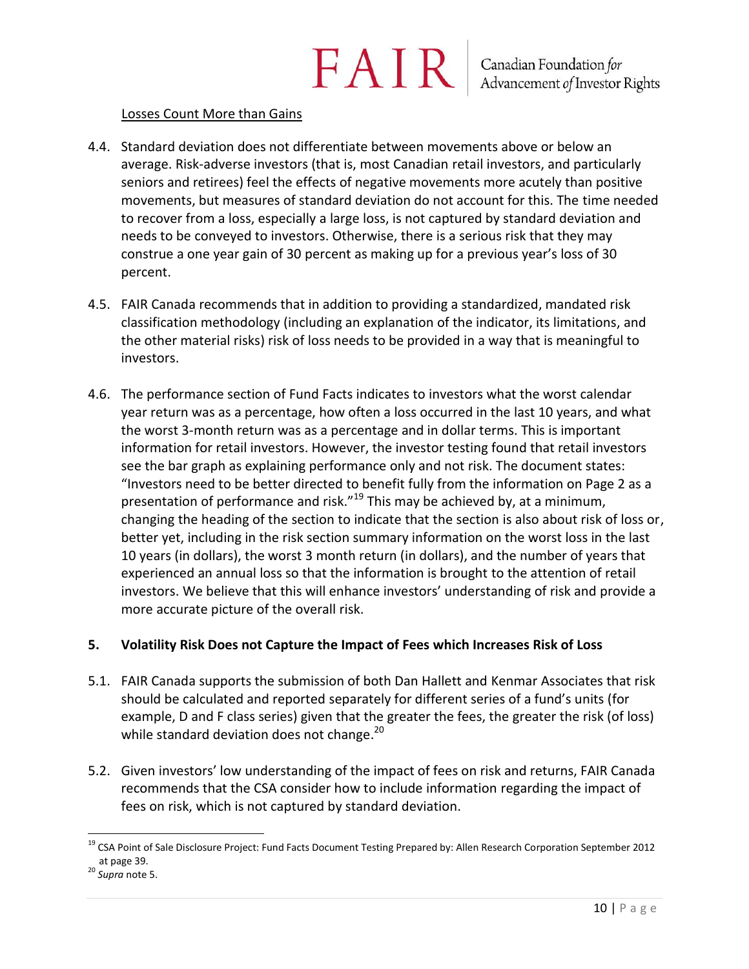

#### Losses Count More than Gains

- 4.4. Standard deviation does not differentiate between movements above or below an average. Risk-adverse investors (that is, most Canadian retail investors, and particularly seniors and retirees) feel the effects of negative movements more acutely than positive movements, but measures of standard deviation do not account for this. The time needed to recover from a loss, especially a large loss, is not captured by standard deviation and needs to be conveyed to investors. Otherwise, there is a serious risk that they may construe a one year gain of 30 percent as making up for a previous year's loss of 30 percent.
- 4.5. FAIR Canada recommends that in addition to providing a standardized, mandated risk classification methodology (including an explanation of the indicator, its limitations, and the other material risks) risk of loss needs to be provided in a way that is meaningful to investors.
- 4.6. The performance section of Fund Facts indicates to investors what the worst calendar year return was as a percentage, how often a loss occurred in the last 10 years, and what the worst 3-month return was as a percentage and in dollar terms. This is important information for retail investors. However, the investor testing found that retail investors see the bar graph as explaining performance only and not risk. The document states: "Investors need to be better directed to benefit fully from the information on Page 2 as a presentation of performance and risk."<sup>19</sup> This may be achieved by, at a minimum, changing the heading of the section to indicate that the section is also about risk of loss or, better yet, including in the risk section summary information on the worst loss in the last 10 years (in dollars), the worst 3 month return (in dollars), and the number of years that experienced an annual loss so that the information is brought to the attention of retail investors. We believe that this will enhance investors' understanding of risk and provide a more accurate picture of the overall risk.

#### **5. Volatility Risk Does not Capture the Impact of Fees which Increases Risk of Loss**

- 5.1. FAIR Canada supports the submission of both Dan Hallett and Kenmar Associates that risk should be calculated and reported separately for different series of a fund's units (for example, D and F class series) given that the greater the fees, the greater the risk (of loss) while standard deviation does not change.<sup>20</sup>
- 5.2. Given investors' low understanding of the impact of fees on risk and returns, FAIR Canada recommends that the CSA consider how to include information regarding the impact of fees on risk, which is not captured by standard deviation.

<sup>&</sup>lt;sup>19</sup> CSA Point of Sale Disclosure Project: Fund Facts Document Testing Prepared by: Allen Research Corporation September 2012 at page 39.

<sup>20</sup> *Supra* note 5.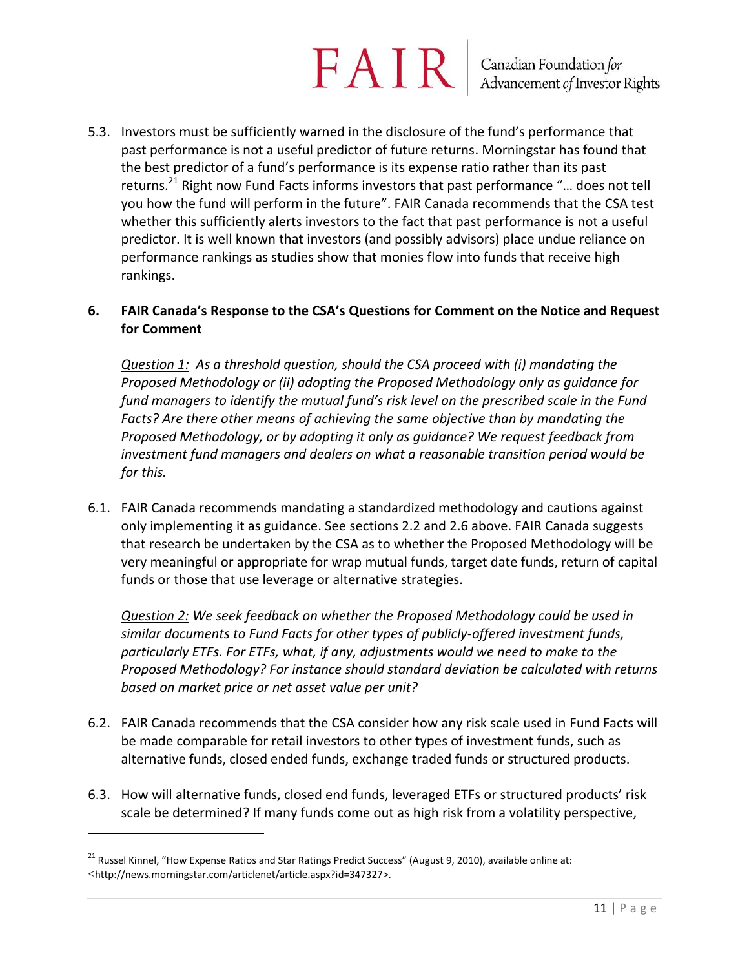5.3. Investors must be sufficiently warned in the disclosure of the fund's performance that past performance is not a useful predictor of future returns. Morningstar has found that the best predictor of a fund's performance is its expense ratio rather than its past returns.<sup>21</sup> Right now Fund Facts informs investors that past performance "... does not tell you how the fund will perform in the future". FAIR Canada recommends that the CSA test whether this sufficiently alerts investors to the fact that past performance is not a useful predictor. It is well known that investors (and possibly advisors) place undue reliance on performance rankings as studies show that monies flow into funds that receive high rankings.

#### **6. FAIR Canada's Response to the CSA's Questions for Comment on the Notice and Request for Comment**

*Question 1: As a threshold question, should the CSA proceed with (i) mandating the Proposed Methodology or (ii) adopting the Proposed Methodology only as guidance for fund managers to identify the mutual fund's risk level on the prescribed scale in the Fund Facts? Are there other means of achieving the same objective than by mandating the Proposed Methodology, or by adopting it only as guidance? We request feedback from investment fund managers and dealers on what a reasonable transition period would be for this.*

6.1. FAIR Canada recommends mandating a standardized methodology and cautions against only implementing it as guidance. See sections 2.2 and 2.6 above. FAIR Canada suggests that research be undertaken by the CSA as to whether the Proposed Methodology will be very meaningful or appropriate for wrap mutual funds, target date funds, return of capital funds or those that use leverage or alternative strategies.

*Question 2: We seek feedback on whether the Proposed Methodology could be used in similar documents to Fund Facts for other types of publicly-offered investment funds, particularly ETFs. For ETFs, what, if any, adjustments would we need to make to the Proposed Methodology? For instance should standard deviation be calculated with returns based on market price or net asset value per unit?*

- 6.2. FAIR Canada recommends that the CSA consider how any risk scale used in Fund Facts will be made comparable for retail investors to other types of investment funds, such as alternative funds, closed ended funds, exchange traded funds or structured products.
- 6.3. How will alternative funds, closed end funds, leveraged ETFs or structured products' risk scale be determined? If many funds come out as high risk from a volatility perspective,

<sup>&</sup>lt;sup>21</sup> Russel Kinnel, "How Expense Ratios and Star Ratings Predict Success" (August 9, 2010), available online at: <http://news.morningstar.com/articlenet/article.aspx?id=347327>.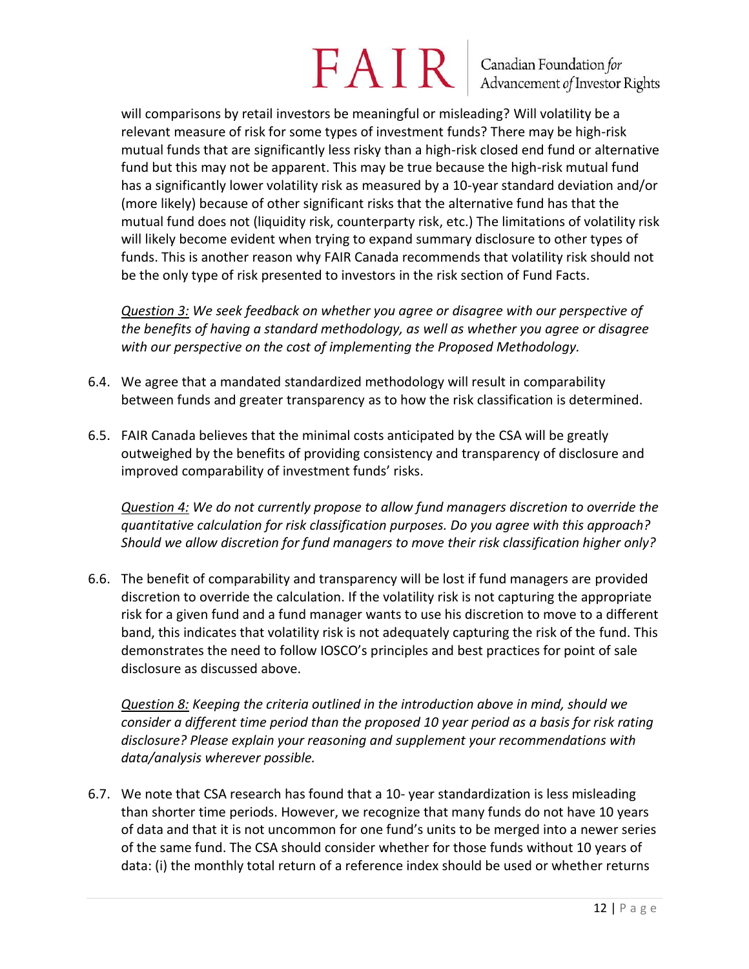will comparisons by retail investors be meaningful or misleading? Will volatility be a relevant measure of risk for some types of investment funds? There may be high-risk mutual funds that are significantly less risky than a high-risk closed end fund or alternative fund but this may not be apparent. This may be true because the high-risk mutual fund has a significantly lower volatility risk as measured by a 10-year standard deviation and/or (more likely) because of other significant risks that the alternative fund has that the mutual fund does not (liquidity risk, counterparty risk, etc.) The limitations of volatility risk will likely become evident when trying to expand summary disclosure to other types of funds. This is another reason why FAIR Canada recommends that volatility risk should not be the only type of risk presented to investors in the risk section of Fund Facts.

*Question 3: We seek feedback on whether you agree or disagree with our perspective of the benefits of having a standard methodology, as well as whether you agree or disagree with our perspective on the cost of implementing the Proposed Methodology.*

- 6.4. We agree that a mandated standardized methodology will result in comparability between funds and greater transparency as to how the risk classification is determined.
- 6.5. FAIR Canada believes that the minimal costs anticipated by the CSA will be greatly outweighed by the benefits of providing consistency and transparency of disclosure and improved comparability of investment funds' risks.

*Question 4: We do not currently propose to allow fund managers discretion to override the quantitative calculation for risk classification purposes. Do you agree with this approach? Should we allow discretion for fund managers to move their risk classification higher only?*

6.6. The benefit of comparability and transparency will be lost if fund managers are provided discretion to override the calculation. If the volatility risk is not capturing the appropriate risk for a given fund and a fund manager wants to use his discretion to move to a different band, this indicates that volatility risk is not adequately capturing the risk of the fund. This demonstrates the need to follow IOSCO's principles and best practices for point of sale disclosure as discussed above.

*Question 8: Keeping the criteria outlined in the introduction above in mind, should we consider a different time period than the proposed 10 year period as a basis for risk rating disclosure? Please explain your reasoning and supplement your recommendations with data/analysis wherever possible.*

6.7. We note that CSA research has found that a 10- year standardization is less misleading than shorter time periods. However, we recognize that many funds do not have 10 years of data and that it is not uncommon for one fund's units to be merged into a newer series of the same fund. The CSA should consider whether for those funds without 10 years of data: (i) the monthly total return of a reference index should be used or whether returns